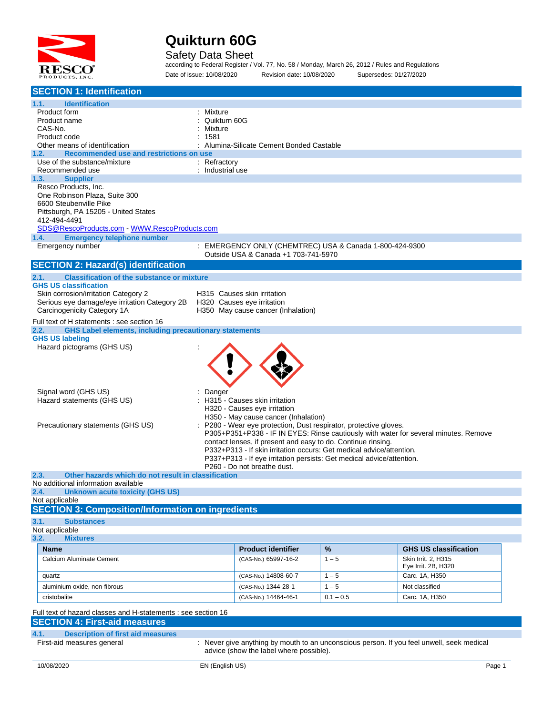

#### Safety Data Sheet

according to Federal Register / Vol. 77, No. 58 / Monday, March 26, 2012 / Rules and Regulations Date of issue: 10/08/2020 Revision date: 10/08/2020 Supersedes: 01/27/2020

| <b>SECTION 1: Identification</b>                                                      |                  |                                                                       |             |                                                                                           |  |
|---------------------------------------------------------------------------------------|------------------|-----------------------------------------------------------------------|-------------|-------------------------------------------------------------------------------------------|--|
| 1.1.<br><b>Identification</b>                                                         |                  |                                                                       |             |                                                                                           |  |
| Product form                                                                          | Mixture          |                                                                       |             |                                                                                           |  |
| Product name                                                                          | Quikturn 60G     |                                                                       |             |                                                                                           |  |
| CAS-No.<br>Product code                                                               | Mixture<br>1581  |                                                                       |             |                                                                                           |  |
| Other means of identification                                                         |                  | Alumina-Silicate Cement Bonded Castable                               |             |                                                                                           |  |
| 1.2.<br>Recommended use and restrictions on use                                       |                  |                                                                       |             |                                                                                           |  |
| Use of the substance/mixture                                                          | : Refractory     |                                                                       |             |                                                                                           |  |
| Recommended use                                                                       | : Industrial use |                                                                       |             |                                                                                           |  |
| 1.3.<br><b>Supplier</b><br>Resco Products, Inc.                                       |                  |                                                                       |             |                                                                                           |  |
| One Robinson Plaza, Suite 300                                                         |                  |                                                                       |             |                                                                                           |  |
| 6600 Steubenville Pike                                                                |                  |                                                                       |             |                                                                                           |  |
| Pittsburgh, PA 15205 - United States                                                  |                  |                                                                       |             |                                                                                           |  |
| 412-494-4491                                                                          |                  |                                                                       |             |                                                                                           |  |
| <b>Emergency telephone number</b><br>1.4.                                             |                  |                                                                       |             |                                                                                           |  |
| Emergency number                                                                      |                  | : EMERGENCY ONLY (CHEMTREC) USA & Canada 1-800-424-9300               |             |                                                                                           |  |
|                                                                                       |                  | Outside USA & Canada +1 703-741-5970                                  |             |                                                                                           |  |
| <b>SECTION 2: Hazard(s) identification</b>                                            |                  |                                                                       |             |                                                                                           |  |
| <b>Classification of the substance or mixture</b><br>2.1.                             |                  |                                                                       |             |                                                                                           |  |
| <b>GHS US classification</b>                                                          |                  |                                                                       |             |                                                                                           |  |
| Skin corrosion/irritation Category 2<br>Serious eye damage/eye irritation Category 2B |                  | H315 Causes skin irritation                                           |             |                                                                                           |  |
| Carcinogenicity Category 1A                                                           |                  | H320 Causes eye irritation<br>H350 May cause cancer (Inhalation)      |             |                                                                                           |  |
| Full text of H statements : see section 16                                            |                  |                                                                       |             |                                                                                           |  |
| <b>GHS Label elements, including precautionary statements</b><br>2.2.                 |                  |                                                                       |             |                                                                                           |  |
| <b>GHS US labeling</b>                                                                |                  |                                                                       |             |                                                                                           |  |
| Hazard pictograms (GHS US)                                                            |                  |                                                                       |             |                                                                                           |  |
|                                                                                       |                  |                                                                       |             |                                                                                           |  |
|                                                                                       |                  |                                                                       |             |                                                                                           |  |
|                                                                                       |                  |                                                                       |             |                                                                                           |  |
| Signal word (GHS US)                                                                  | Danger           |                                                                       |             |                                                                                           |  |
| Hazard statements (GHS US)                                                            |                  | H315 - Causes skin irritation                                         |             |                                                                                           |  |
|                                                                                       |                  | H320 - Causes eye irritation                                          |             |                                                                                           |  |
|                                                                                       |                  | H350 - May cause cancer (Inhalation)                                  |             |                                                                                           |  |
| Precautionary statements (GHS US)                                                     |                  | : P280 - Wear eye protection, Dust respirator, protective gloves.     |             | P305+P351+P338 - IF IN EYES: Rinse cautiously with water for several minutes. Remove      |  |
|                                                                                       |                  | contact lenses, if present and easy to do. Continue rinsing.          |             |                                                                                           |  |
|                                                                                       |                  | P332+P313 - If skin irritation occurs: Get medical advice/attention.  |             |                                                                                           |  |
|                                                                                       |                  | P337+P313 - If eye irritation persists: Get medical advice/attention. |             |                                                                                           |  |
| 2.3.<br>Other hazards which do not result in classification                           |                  | P260 - Do not breathe dust.                                           |             |                                                                                           |  |
| No additional information available                                                   |                  |                                                                       |             |                                                                                           |  |
| 2.4. Unknown acute toxicity (GHS US)                                                  |                  |                                                                       |             |                                                                                           |  |
| Not applicable                                                                        |                  |                                                                       |             |                                                                                           |  |
| <b>SECTION 3: Composition/Information on ingredients</b>                              |                  |                                                                       |             |                                                                                           |  |
| 3.1.<br><b>Substances</b>                                                             |                  |                                                                       |             |                                                                                           |  |
| Not applicable<br>3.2.<br><b>Mixtures</b>                                             |                  |                                                                       |             |                                                                                           |  |
| <b>Name</b>                                                                           |                  | <b>Product identifier</b>                                             |             |                                                                                           |  |
| <b>Calcium Aluminate Cement</b>                                                       |                  |                                                                       | %           | <b>GHS US classification</b>                                                              |  |
|                                                                                       |                  | (CAS-No.) 65997-16-2                                                  | $1 - 5$     | Skin Irrit. 2, H315<br>Eye Irrit. 2B, H320                                                |  |
| quartz                                                                                |                  | (CAS-No.) 14808-60-7                                                  | $1 - 5$     | Carc. 1A, H350                                                                            |  |
| aluminium oxide, non-fibrous                                                          |                  | (CAS-No.) 1344-28-1                                                   | $1 - 5$     | Not classified                                                                            |  |
| cristobalite                                                                          |                  | (CAS-No.) 14464-46-1                                                  | $0.1 - 0.5$ | Carc. 1A, H350                                                                            |  |
|                                                                                       |                  |                                                                       |             |                                                                                           |  |
| Full text of hazard classes and H-statements : see section 16                         |                  |                                                                       |             |                                                                                           |  |
| <b>SECTION 4: First-aid measures</b>                                                  |                  |                                                                       |             |                                                                                           |  |
| 4.1.<br><b>Description of first aid measures</b>                                      |                  |                                                                       |             |                                                                                           |  |
| First-aid measures general                                                            |                  | advice (show the label where possible).                               |             | : Never give anything by mouth to an unconscious person. If you feel unwell, seek medical |  |
|                                                                                       |                  |                                                                       |             |                                                                                           |  |
| 10/08/2020                                                                            | EN (English US)  |                                                                       |             | Page 1                                                                                    |  |
|                                                                                       |                  |                                                                       |             |                                                                                           |  |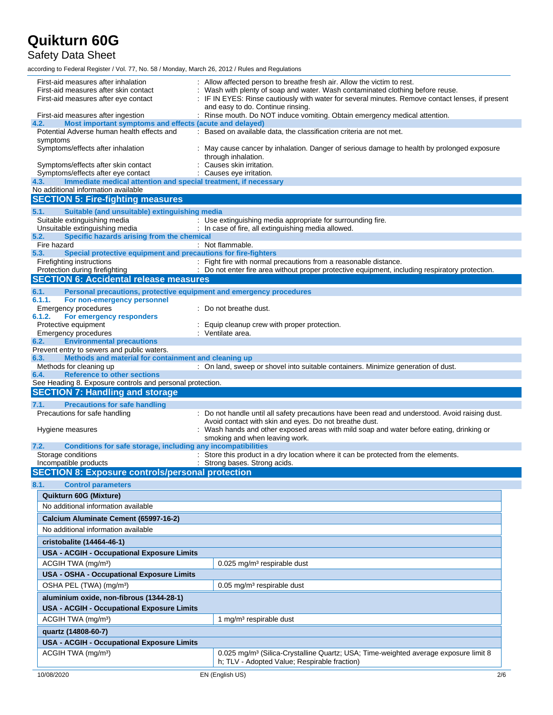Safety Data Sheet

| First-aid measures after inhalation<br>First-aid measures after skin contact<br>First-aid measures after eye contact | Allow affected person to breathe fresh air. Allow the victim to rest.<br>Wash with plenty of soap and water. Wash contaminated clothing before reuse.<br>: IF IN EYES: Rinse cautiously with water for several minutes. Remove contact lenses, if present<br>and easy to do. Continue rinsing. |
|----------------------------------------------------------------------------------------------------------------------|------------------------------------------------------------------------------------------------------------------------------------------------------------------------------------------------------------------------------------------------------------------------------------------------|
| First-aid measures after ingestion                                                                                   | : Rinse mouth. Do NOT induce vomiting. Obtain emergency medical attention.                                                                                                                                                                                                                     |
| Most important symptoms and effects (acute and delayed)<br>4.2.<br>Potential Adverse human health effects and        | : Based on available data, the classification criteria are not met.                                                                                                                                                                                                                            |
| symptoms<br>Symptoms/effects after inhalation                                                                        | : May cause cancer by inhalation. Danger of serious damage to health by prolonged exposure                                                                                                                                                                                                     |
| Symptoms/effects after skin contact                                                                                  | through inhalation.<br>Causes skin irritation.                                                                                                                                                                                                                                                 |
| Symptoms/effects after eye contact                                                                                   | Causes eye irritation.                                                                                                                                                                                                                                                                         |
| Immediate medical attention and special treatment, if necessary<br>4.3.                                              |                                                                                                                                                                                                                                                                                                |
| No additional information available<br><b>SECTION 5: Fire-fighting measures</b>                                      |                                                                                                                                                                                                                                                                                                |
|                                                                                                                      |                                                                                                                                                                                                                                                                                                |
| Suitable (and unsuitable) extinguishing media<br>5.1.<br>Suitable extinguishing media                                | : Use extinguishing media appropriate for surrounding fire.                                                                                                                                                                                                                                    |
| Unsuitable extinguishing media                                                                                       | : In case of fire, all extinguishing media allowed.                                                                                                                                                                                                                                            |
| Specific hazards arising from the chemical<br>5.2.                                                                   |                                                                                                                                                                                                                                                                                                |
| Fire hazard<br>5.3.<br>Special protective equipment and precautions for fire-fighters                                | : Not flammable.                                                                                                                                                                                                                                                                               |
| Firefighting instructions                                                                                            | : Fight fire with normal precautions from a reasonable distance.                                                                                                                                                                                                                               |
| Protection during firefighting                                                                                       | : Do not enter fire area without proper protective equipment, including respiratory protection.                                                                                                                                                                                                |
| <b>SECTION 6: Accidental release measures</b>                                                                        |                                                                                                                                                                                                                                                                                                |
| 6.1.<br>Personal precautions, protective equipment and emergency procedures                                          |                                                                                                                                                                                                                                                                                                |
| 6.1.1.<br>For non-emergency personnel<br>Emergency procedures                                                        | : Do not breathe dust.                                                                                                                                                                                                                                                                         |
| 6.1.2.<br>For emergency responders                                                                                   |                                                                                                                                                                                                                                                                                                |
| Protective equipment                                                                                                 | : Equip cleanup crew with proper protection.                                                                                                                                                                                                                                                   |
| <b>Emergency procedures</b><br><b>Environmental precautions</b>                                                      | : Ventilate area.                                                                                                                                                                                                                                                                              |
| 6.2.<br>Prevent entry to sewers and public waters.                                                                   |                                                                                                                                                                                                                                                                                                |
| Methods and material for containment and cleaning up<br>6.3.                                                         |                                                                                                                                                                                                                                                                                                |
| Methods for cleaning up                                                                                              | : On land, sweep or shovel into suitable containers. Minimize generation of dust.                                                                                                                                                                                                              |
| <b>Reference to other sections</b><br>6.4.                                                                           |                                                                                                                                                                                                                                                                                                |
|                                                                                                                      |                                                                                                                                                                                                                                                                                                |
| See Heading 8. Exposure controls and personal protection.                                                            |                                                                                                                                                                                                                                                                                                |
| <b>SECTION 7: Handling and storage</b><br>7.1.                                                                       |                                                                                                                                                                                                                                                                                                |
| <b>Precautions for safe handling</b><br>Precautions for safe handling                                                | : Do not handle until all safety precautions have been read and understood. Avoid raising dust.                                                                                                                                                                                                |
|                                                                                                                      | Avoid contact with skin and eyes. Do not breathe dust.                                                                                                                                                                                                                                         |
| Hygiene measures                                                                                                     | : Wash hands and other exposed areas with mild soap and water before eating, drinking or                                                                                                                                                                                                       |
| Conditions for safe storage, including any incompatibilities<br>7.2.                                                 | smoking and when leaving work.                                                                                                                                                                                                                                                                 |
| Storage conditions                                                                                                   | : Store this product in a dry location where it can be protected from the elements.                                                                                                                                                                                                            |
| Incompatible products                                                                                                | : Strong bases. Strong acids.                                                                                                                                                                                                                                                                  |
| <b>SECTION 8: Exposure controls/personal protection</b>                                                              |                                                                                                                                                                                                                                                                                                |
| <b>Control parameters</b><br>8.1.                                                                                    |                                                                                                                                                                                                                                                                                                |
| Quikturn 60G (Mixture)                                                                                               |                                                                                                                                                                                                                                                                                                |
| No additional information available                                                                                  |                                                                                                                                                                                                                                                                                                |
| Calcium Aluminate Cement (65997-16-2)                                                                                |                                                                                                                                                                                                                                                                                                |
| No additional information available                                                                                  |                                                                                                                                                                                                                                                                                                |
| cristobalite (14464-46-1)                                                                                            |                                                                                                                                                                                                                                                                                                |
| <b>USA - ACGIH - Occupational Exposure Limits</b>                                                                    |                                                                                                                                                                                                                                                                                                |
| ACGIH TWA (mg/m <sup>3</sup> )                                                                                       | 0.025 mg/m <sup>3</sup> respirable dust                                                                                                                                                                                                                                                        |
| USA - OSHA - Occupational Exposure Limits                                                                            |                                                                                                                                                                                                                                                                                                |
| OSHA PEL (TWA) (mg/m <sup>3</sup> )                                                                                  | $0.05$ mg/m <sup>3</sup> respirable dust                                                                                                                                                                                                                                                       |
| aluminium oxide, non-fibrous (1344-28-1)                                                                             |                                                                                                                                                                                                                                                                                                |
| <b>USA - ACGIH - Occupational Exposure Limits</b>                                                                    |                                                                                                                                                                                                                                                                                                |
| ACGIH TWA (mg/m <sup>3</sup> )                                                                                       | 1 mg/m <sup>3</sup> respirable dust                                                                                                                                                                                                                                                            |
| quartz (14808-60-7)                                                                                                  |                                                                                                                                                                                                                                                                                                |
| <b>USA - ACGIH - Occupational Exposure Limits</b>                                                                    |                                                                                                                                                                                                                                                                                                |
| ACGIH TWA (mg/m <sup>3</sup> )                                                                                       | 0.025 mg/m <sup>3</sup> (Silica-Crystalline Quartz; USA; Time-weighted average exposure limit 8<br>h; TLV - Adopted Value; Respirable fraction)                                                                                                                                                |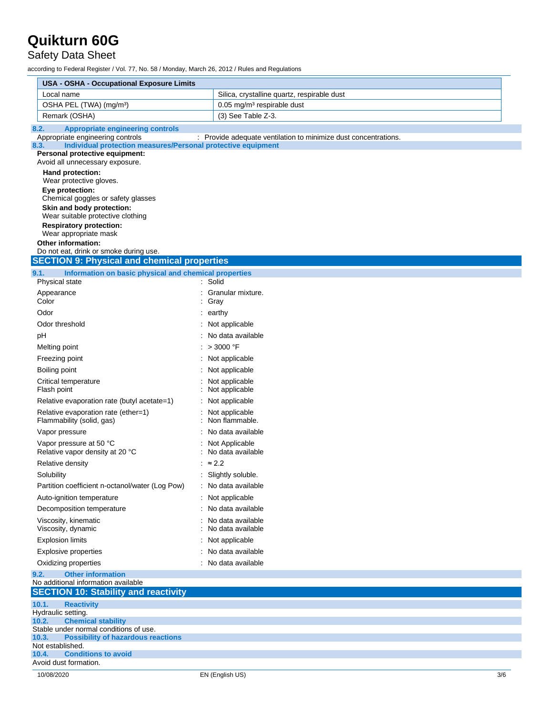Safety Data Sheet

| <b>USA - OSHA - Occupational Exposure Limits</b>                                                         |                                                                 |     |
|----------------------------------------------------------------------------------------------------------|-----------------------------------------------------------------|-----|
| Local name                                                                                               | Silica, crystalline quartz, respirable dust                     |     |
| OSHA PEL (TWA) (mg/m <sup>3</sup> )                                                                      | 0.05 mg/m <sup>3</sup> respirable dust                          |     |
| Remark (OSHA)                                                                                            | (3) See Table Z-3.                                              |     |
| 8.2.<br><b>Appropriate engineering controls</b>                                                          |                                                                 |     |
| Appropriate engineering controls<br>Individual protection measures/Personal protective equipment<br>8.3. | : Provide adequate ventilation to minimize dust concentrations. |     |
| Personal protective equipment:                                                                           |                                                                 |     |
| Avoid all unnecessary exposure.                                                                          |                                                                 |     |
| Hand protection:                                                                                         |                                                                 |     |
| Wear protective gloves.<br>Eye protection:                                                               |                                                                 |     |
| Chemical goggles or safety glasses                                                                       |                                                                 |     |
| Skin and body protection:                                                                                |                                                                 |     |
| Wear suitable protective clothing                                                                        |                                                                 |     |
| <b>Respiratory protection:</b><br>Wear appropriate mask                                                  |                                                                 |     |
| <b>Other information:</b>                                                                                |                                                                 |     |
| Do not eat, drink or smoke during use.                                                                   |                                                                 |     |
| <b>SECTION 9: Physical and chemical properties</b>                                                       |                                                                 |     |
| 9.1.<br>Information on basic physical and chemical properties                                            |                                                                 |     |
| Physical state                                                                                           | : Solid                                                         |     |
| Appearance<br>Color                                                                                      | : Granular mixture.<br>: Gray                                   |     |
| Odor                                                                                                     | $:$ earthy                                                      |     |
| Odor threshold                                                                                           | : Not applicable                                                |     |
| рH                                                                                                       | : No data available                                             |     |
| Melting point                                                                                            | : > 3000 °F                                                     |     |
| Freezing point                                                                                           | : Not applicable                                                |     |
| Boiling point                                                                                            | Not applicable                                                  |     |
| Critical temperature                                                                                     | : Not applicable                                                |     |
| Flash point                                                                                              | : Not applicable                                                |     |
| Relative evaporation rate (butyl acetate=1)                                                              | : Not applicable                                                |     |
| Relative evaporation rate (ether=1)                                                                      | : Not applicable                                                |     |
| Flammability (solid, gas)                                                                                | Non flammable.                                                  |     |
| Vapor pressure                                                                                           | No data available                                               |     |
| Vapor pressure at 50 °C                                                                                  | Not Applicable                                                  |     |
| Relative vapor density at 20 °C                                                                          | No data available                                               |     |
| Relative density                                                                                         | $: \approx 2.2$                                                 |     |
| Solubility                                                                                               | : Slightly soluble.                                             |     |
| Partition coefficient n-octanol/water (Log Pow)                                                          | : No data available                                             |     |
| Auto-ignition temperature                                                                                | : Not applicable                                                |     |
| Decomposition temperature                                                                                | : No data available                                             |     |
| Viscosity, kinematic<br>Viscosity, dynamic                                                               | : No data available<br>: No data available                      |     |
| <b>Explosion limits</b>                                                                                  | Not applicable                                                  |     |
| <b>Explosive properties</b>                                                                              | No data available                                               |     |
| Oxidizing properties                                                                                     | : No data available                                             |     |
| <b>Other information</b>                                                                                 |                                                                 |     |
| 9.2.<br>No additional information available                                                              |                                                                 |     |
| <b>SECTION 10: Stability and reactivity</b>                                                              |                                                                 |     |
| 10.1.<br><b>Reactivity</b>                                                                               |                                                                 |     |
| Hydraulic setting.                                                                                       |                                                                 |     |
| <b>Chemical stability</b><br>10.2.<br>Stable under normal conditions of use.                             |                                                                 |     |
| 10.3.<br><b>Possibility of hazardous reactions</b>                                                       |                                                                 |     |
| Not established.                                                                                         |                                                                 |     |
| <b>Conditions to avoid</b><br>10.4.<br>Avoid dust formation.                                             |                                                                 |     |
| 10/08/2020                                                                                               | EN (English US)                                                 | 3/6 |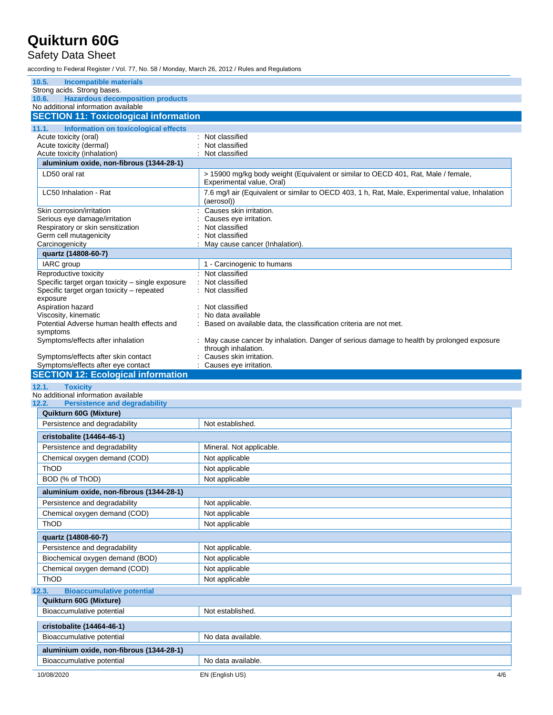### Safety Data Sheet

| 10.5.<br>Incompatible materials                                                     |                                                                                                                |
|-------------------------------------------------------------------------------------|----------------------------------------------------------------------------------------------------------------|
| Strong acids. Strong bases.                                                         |                                                                                                                |
| <b>Hazardous decomposition products</b><br>10.6.                                    |                                                                                                                |
| No additional information available<br><b>SECTION 11: Toxicological information</b> |                                                                                                                |
|                                                                                     |                                                                                                                |
| 11.1.<br>Information on toxicological effects<br>Acute toxicity (oral)              | : Not classified                                                                                               |
| Acute toxicity (dermal)                                                             | Not classified                                                                                                 |
| Acute toxicity (inhalation)                                                         | Not classified                                                                                                 |
| aluminium oxide, non-fibrous (1344-28-1)                                            |                                                                                                                |
| LD50 oral rat                                                                       | > 15900 mg/kg body weight (Equivalent or similar to OECD 401, Rat, Male / female,<br>Experimental value, Oral) |
| LC50 Inhalation - Rat                                                               | 7.6 mg/l air (Equivalent or similar to OECD 403, 1 h, Rat, Male, Experimental value, Inhalation<br>(aerosol))  |
| Skin corrosion/irritation                                                           | Causes skin irritation.                                                                                        |
| Serious eye damage/irritation                                                       | Causes eye irritation.                                                                                         |
| Respiratory or skin sensitization<br>Germ cell mutagenicity                         | Not classified<br>Not classified                                                                               |
| Carcinogenicity                                                                     | May cause cancer (Inhalation).                                                                                 |
| quartz (14808-60-7)                                                                 |                                                                                                                |
| IARC group                                                                          | 1 - Carcinogenic to humans                                                                                     |
| Reproductive toxicity                                                               | : Not classified                                                                                               |
| Specific target organ toxicity - single exposure                                    | Not classified                                                                                                 |
| Specific target organ toxicity - repeated<br>exposure                               | Not classified                                                                                                 |
| Aspiration hazard                                                                   | Not classified                                                                                                 |
| Viscosity, kinematic                                                                | No data available                                                                                              |
| Potential Adverse human health effects and                                          | Based on available data, the classification criteria are not met.                                              |
| symptoms<br>Symptoms/effects after inhalation                                       | : May cause cancer by inhalation. Danger of serious damage to health by prolonged exposure                     |
|                                                                                     | through inhalation.                                                                                            |
| Symptoms/effects after skin contact                                                 | Causes skin irritation.                                                                                        |
| Symptoms/effects after eye contact<br><b>SECTION 12: Ecological information</b>     | : Causes eye irritation.                                                                                       |
|                                                                                     |                                                                                                                |
|                                                                                     |                                                                                                                |
| <b>Toxicity</b><br>12.1.<br>No additional information available                     |                                                                                                                |
| <b>Persistence and degradability</b><br>12.2.                                       |                                                                                                                |
| Quikturn 60G (Mixture)<br>Persistence and degradability                             | Not established.                                                                                               |
|                                                                                     |                                                                                                                |
| cristobalite (14464-46-1)                                                           |                                                                                                                |
| Persistence and degradability                                                       | Mineral. Not applicable.                                                                                       |
| Chemical oxygen demand (COD)<br>ThOD                                                | Not applicable<br>Not applicable                                                                               |
| BOD (% of ThOD)                                                                     |                                                                                                                |
|                                                                                     | Not applicable                                                                                                 |
| aluminium oxide, non-fibrous (1344-28-1)                                            |                                                                                                                |
| Persistence and degradability                                                       | Not applicable.                                                                                                |
| Chemical oxygen demand (COD)<br>ThOD                                                | Not applicable                                                                                                 |
|                                                                                     | Not applicable                                                                                                 |
| quartz (14808-60-7)                                                                 |                                                                                                                |
| Persistence and degradability                                                       | Not applicable.                                                                                                |
| Biochemical oxygen demand (BOD)                                                     | Not applicable                                                                                                 |
| Chemical oxygen demand (COD)                                                        | Not applicable                                                                                                 |
| <b>ThOD</b>                                                                         | Not applicable                                                                                                 |
| <b>Bioaccumulative potential</b><br>12.3.                                           |                                                                                                                |
| Quikturn 60G (Mixture)<br>Bioaccumulative potential                                 | Not established.                                                                                               |
|                                                                                     |                                                                                                                |
| cristobalite (14464-46-1)                                                           |                                                                                                                |
| Bioaccumulative potential                                                           | No data available.                                                                                             |
| aluminium oxide, non-fibrous (1344-28-1)<br>Bioaccumulative potential               | No data available.                                                                                             |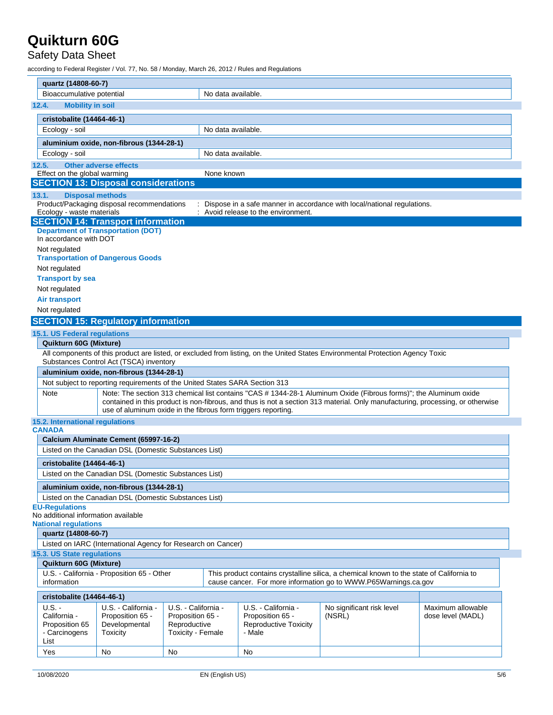### Safety Data Sheet

| quartz (14808-60-7)                                                                                                                                                                                                                                 |                                                                                       |                                  |                    |                                        |                                                                                                                                 |                   |
|-----------------------------------------------------------------------------------------------------------------------------------------------------------------------------------------------------------------------------------------------------|---------------------------------------------------------------------------------------|----------------------------------|--------------------|----------------------------------------|---------------------------------------------------------------------------------------------------------------------------------|-------------------|
| Bioaccumulative potential                                                                                                                                                                                                                           | No data available.                                                                    |                                  |                    |                                        |                                                                                                                                 |                   |
| <b>Mobility in soil</b><br>12.4.                                                                                                                                                                                                                    |                                                                                       |                                  |                    |                                        |                                                                                                                                 |                   |
| cristobalite (14464-46-1)                                                                                                                                                                                                                           |                                                                                       |                                  |                    |                                        |                                                                                                                                 |                   |
| Ecology - soil                                                                                                                                                                                                                                      |                                                                                       |                                  | No data available. |                                        |                                                                                                                                 |                   |
|                                                                                                                                                                                                                                                     | aluminium oxide, non-fibrous (1344-28-1)                                              |                                  |                    |                                        |                                                                                                                                 |                   |
| Ecology - soil                                                                                                                                                                                                                                      |                                                                                       |                                  | No data available. |                                        |                                                                                                                                 |                   |
| 12.5.                                                                                                                                                                                                                                               | <b>Other adverse effects</b>                                                          |                                  |                    |                                        |                                                                                                                                 |                   |
| Effect on the global warming                                                                                                                                                                                                                        |                                                                                       |                                  | None known         |                                        |                                                                                                                                 |                   |
|                                                                                                                                                                                                                                                     | <b>SECTION 13: Disposal considerations</b>                                            |                                  |                    |                                        |                                                                                                                                 |                   |
| 13.1.                                                                                                                                                                                                                                               | <b>Disposal methods</b>                                                               |                                  |                    |                                        |                                                                                                                                 |                   |
|                                                                                                                                                                                                                                                     | Product/Packaging disposal recommendations                                            |                                  |                    |                                        | : Dispose in a safe manner in accordance with local/national regulations.                                                       |                   |
| Ecology - waste materials                                                                                                                                                                                                                           |                                                                                       |                                  |                    | : Avoid release to the environment.    |                                                                                                                                 |                   |
|                                                                                                                                                                                                                                                     | <b>SECTION 14: Transport information</b><br><b>Department of Transportation (DOT)</b> |                                  |                    |                                        |                                                                                                                                 |                   |
| In accordance with DOT                                                                                                                                                                                                                              |                                                                                       |                                  |                    |                                        |                                                                                                                                 |                   |
| Not regulated                                                                                                                                                                                                                                       |                                                                                       |                                  |                    |                                        |                                                                                                                                 |                   |
|                                                                                                                                                                                                                                                     | <b>Transportation of Dangerous Goods</b>                                              |                                  |                    |                                        |                                                                                                                                 |                   |
| Not regulated                                                                                                                                                                                                                                       |                                                                                       |                                  |                    |                                        |                                                                                                                                 |                   |
| <b>Transport by sea</b>                                                                                                                                                                                                                             |                                                                                       |                                  |                    |                                        |                                                                                                                                 |                   |
| Not regulated                                                                                                                                                                                                                                       |                                                                                       |                                  |                    |                                        |                                                                                                                                 |                   |
| <b>Air transport</b>                                                                                                                                                                                                                                |                                                                                       |                                  |                    |                                        |                                                                                                                                 |                   |
| Not regulated                                                                                                                                                                                                                                       |                                                                                       |                                  |                    |                                        |                                                                                                                                 |                   |
|                                                                                                                                                                                                                                                     | <b>SECTION 15: Regulatory information</b>                                             |                                  |                    |                                        |                                                                                                                                 |                   |
| 15.1. US Federal regulations                                                                                                                                                                                                                        |                                                                                       |                                  |                    |                                        |                                                                                                                                 |                   |
| Quikturn 60G (Mixture)                                                                                                                                                                                                                              |                                                                                       |                                  |                    |                                        |                                                                                                                                 |                   |
|                                                                                                                                                                                                                                                     | Substances Control Act (TSCA) inventory                                               |                                  |                    |                                        | All components of this product are listed, or excluded from listing, on the United States Environmental Protection Agency Toxic |                   |
|                                                                                                                                                                                                                                                     | aluminium oxide, non-fibrous (1344-28-1)                                              |                                  |                    |                                        |                                                                                                                                 |                   |
|                                                                                                                                                                                                                                                     | Not subject to reporting requirements of the United States SARA Section 313           |                                  |                    |                                        |                                                                                                                                 |                   |
| Note                                                                                                                                                                                                                                                |                                                                                       |                                  |                    |                                        |                                                                                                                                 |                   |
| Note: The section 313 chemical list contains "CAS # 1344-28-1 Aluminum Oxide (Fibrous forms)"; the Aluminum oxide<br>contained in this product is non-fibrous, and thus is not a section 313 material. Only manufacturing, processing, or otherwise |                                                                                       |                                  |                    |                                        |                                                                                                                                 |                   |
|                                                                                                                                                                                                                                                     | use of aluminum oxide in the fibrous form triggers reporting.                         |                                  |                    |                                        |                                                                                                                                 |                   |
| 15.2. International regulations                                                                                                                                                                                                                     |                                                                                       |                                  |                    |                                        |                                                                                                                                 |                   |
| <b>CANADA</b>                                                                                                                                                                                                                                       | Calcium Aluminate Cement (65997-16-2)                                                 |                                  |                    |                                        |                                                                                                                                 |                   |
|                                                                                                                                                                                                                                                     | Listed on the Canadian DSL (Domestic Substances List)                                 |                                  |                    |                                        |                                                                                                                                 |                   |
|                                                                                                                                                                                                                                                     |                                                                                       |                                  |                    |                                        |                                                                                                                                 |                   |
| cristobalite (14464-46-1)                                                                                                                                                                                                                           |                                                                                       |                                  |                    |                                        |                                                                                                                                 |                   |
|                                                                                                                                                                                                                                                     | Listed on the Canadian DSL (Domestic Substances List)                                 |                                  |                    |                                        |                                                                                                                                 |                   |
| aluminium oxide, non-fibrous (1344-28-1)                                                                                                                                                                                                            |                                                                                       |                                  |                    |                                        |                                                                                                                                 |                   |
|                                                                                                                                                                                                                                                     | Listed on the Canadian DSL (Domestic Substances List)                                 |                                  |                    |                                        |                                                                                                                                 |                   |
| <b>EU-Regulations</b><br>No additional information available                                                                                                                                                                                        |                                                                                       |                                  |                    |                                        |                                                                                                                                 |                   |
| <b>National regulations</b>                                                                                                                                                                                                                         |                                                                                       |                                  |                    |                                        |                                                                                                                                 |                   |
| quartz (14808-60-7)                                                                                                                                                                                                                                 |                                                                                       |                                  |                    |                                        |                                                                                                                                 |                   |
| Listed on IARC (International Agency for Research on Cancer)                                                                                                                                                                                        |                                                                                       |                                  |                    |                                        |                                                                                                                                 |                   |
| 15.3. US State regulations                                                                                                                                                                                                                          |                                                                                       |                                  |                    |                                        |                                                                                                                                 |                   |
| Quikturn 60G (Mixture)                                                                                                                                                                                                                              |                                                                                       |                                  |                    |                                        |                                                                                                                                 |                   |
| U.S. California - Proposition 65 - Other<br>This product contains crystalline silica, a chemical known to the state of California to<br>cause cancer. For more information go to WWW.P65Warnings.ca.gov                                             |                                                                                       |                                  |                    |                                        |                                                                                                                                 |                   |
| information                                                                                                                                                                                                                                         |                                                                                       |                                  |                    |                                        |                                                                                                                                 |                   |
| cristobalite (14464-46-1)                                                                                                                                                                                                                           |                                                                                       |                                  |                    |                                        |                                                                                                                                 |                   |
| $U.S. -$                                                                                                                                                                                                                                            | U.S. - California -                                                                   | U.S. - California -              |                    | U.S. - California -                    | No significant risk level                                                                                                       | Maximum allowable |
| California -<br>Proposition 65                                                                                                                                                                                                                      | Proposition 65 -<br>Developmental                                                     | Proposition 65 -<br>Reproductive |                    | Proposition 65 -                       | (NSRL)                                                                                                                          | dose level (MADL) |
| - Carcinogens                                                                                                                                                                                                                                       | Toxicity                                                                              | <b>Toxicity - Female</b>         |                    | <b>Reproductive Toxicity</b><br>- Male |                                                                                                                                 |                   |
| List                                                                                                                                                                                                                                                |                                                                                       |                                  |                    |                                        |                                                                                                                                 |                   |
| Yes                                                                                                                                                                                                                                                 | No                                                                                    | No                               |                    | No                                     |                                                                                                                                 |                   |